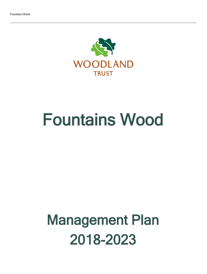

# Fountains Wood

## Management Plan 2018-2023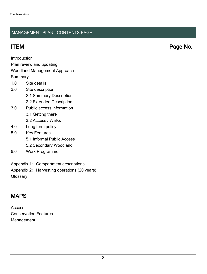### MANAGEMENT PLAN - CONTENTS PAGE

ITEM Page No.

Introduction

Plan review and updating

### Woodland Management Approach

**Summary** 

- 1.0 Site details
- 2.0 Site description
	- 2.1 Summary Description
	- 2.2 Extended Description
- 3.0 Public access information
	- 3.1 Getting there
	- 3.2 Access / Walks
- 4.0 Long term policy
- 5.0 Key Features
	- 5.1 Informal Public Access
	- 5.2 Secondary Woodland
- 6.0 Work Programme
- Appendix 1: Compartment descriptions
- Appendix 2: Harvesting operations (20 years)

**Glossary** 

## MAPS

Access Conservation Features Management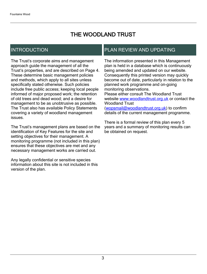## THE WOODLAND TRUST

## INTRODUCTION

The Trust's corporate aims and management approach guide the management of all the Trust's properties, and are described on Page 4. These determine basic management policies and methods, which apply to all sites unless specifically stated otherwise. Such policies include free public access; keeping local people informed of major proposed work; the retention of old trees and dead wood; and a desire for management to be as unobtrusive as possible. The Trust also has available Policy Statements covering a variety of woodland management issues.

The Trust's management plans are based on the identification of Key Features for the site and setting objectives for their management. A monitoring programme (not included in this plan) ensures that these objectives are met and any necessary management works are carried out.

Any legally confidential or sensitive species information about this site is not included in this version of the plan.

## PLAN REVIEW AND UPDATING

The information presented in this Management plan is held in a database which is continuously being amended and updated on our website. Consequently this printed version may quickly become out of date, particularly in relation to the planned work programme and on-going monitoring observations. Please either consult The Woodland Trust website [www.woodlandtrust.org.uk](http://www.woodlandtrust.org.uk/) or contact the Woodland Trust [\(wopsmail@woodlandtrust.org.uk](mailto:wopsmail@woodlandtrust.org.uk)) to confirm

details of the current management programme.

There is a formal review of this plan every 5 years and a summary of monitoring results can be obtained on request.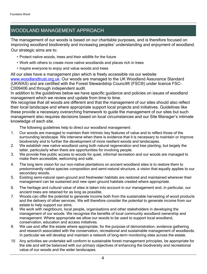## WOODLAND MANAGEMENT APPROACH

The management of our woods is based on our charitable purposes, and is therefore focused on improving woodland biodiversity and increasing peoples' understanding and enjoyment of woodland. Our strategic aims are to:

- Protect native woods, trees and their wildlife for the future
- Work with others to create more native woodlands and places rich in trees
- Inspire everyone to enjoy and value woods and trees

All our sites have a management plan which is freely accessible via our website [www.woodlandtrust.org.uk.](http://www.woodlandtrust.org.uk/) Our woods are managed to the UK Woodland Assurance Standard (UKWAS) and are certified with the Forest Stewardship Council® (FSC®) under licence FSC-C009406 and through independent audit.

In addition to the guidelines below we have specific guidance and policies on issues of woodland management which we review and update from time to time.

We recognise that all woods are different and that the management of our sites should also reflect their local landscape and where appropriate support local projects and initiatives. Guidelines like these provide a necessary overarching framework to guide the management of our sites but such management also requires decisions based on local circumstances and our Site Manager's intimate knowledge of each site.

The following guidelines help to direct our woodland management:

- 1. Our woods are managed to maintain their intrinsic key features of value and to reflect those of the surrounding landscape. We intervene when there is evidence that it is necessary to maintain or improve biodiversity and to further the development of more resilient woods and landscapes.
- 2. We establish new native woodland using both natural regeneration and tree planting, but largely the latter, particularly when there are opportunities for involving people.
- 3. We provide free public access to woods for quiet, informal recreation and our woods are managed to make them accessible, welcoming and safe.
- 4. The long term vision for our non-native plantations on ancient woodland sites is to restore them to predominantly native species composition and semi-natural structure, a vision that equally applies to our secondary woods.
- 5. Existing semi-natural open-ground and freshwater habitats are restored and maintained wherever their management can be sustained and new open ground habitats created where appropriate.
- 6. The heritage and cultural value of sites is taken into account in our management and, in particular, our ancient trees are retained for as long as possible.
- 7. Woods can offer the potential to generate income both from the sustainable harvesting of wood products and the delivery of other services. We will therefore consider the potential to generate income from our estate to help support our aims.
- 8. We work with neighbours, local people, organisations and other stakeholders in developing the management of our woods. We recognise the benefits of local community woodland ownership and management. Where appropriate we allow our woods to be used to support local woodland, conservation, education and access initiatives.
- 9. We use and offer the estate where appropriate, for the purpose of demonstration, evidence gathering and research associated with the conservation, recreational and sustainable management of woodlands. In particular we will develop and maintain a network of long-term monitoring sites across the estate.
- 10 Any activities we undertake will conform to sustainable forest management principles, be appropriate for the site and will be balanced with our primary objectives of enhancing the biodiversity and recreational value of our woods and the wider landscapes.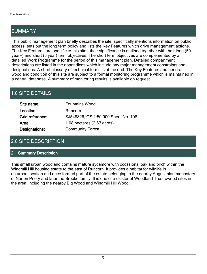## SUMMARY

This public management plan briefly describes the site, specifically mentions information on public access, sets out the long term policy and lists the Key Features which drive management actions. The Key Features are specific to this site - their significance is outlined together with their long (50 year+) and short (5 year) term objectives. The short term objectives are complemented by a detailed Work Programme for the period of this management plan. Detailed compartment descriptions are listed in the appendices which include any major management constraints and designations. A short glossary of technical terms is at the end. The Key Features and general woodland condition of this site are subject to a formal monitoring programme which is maintained in a central database. A summary of monitoring results is available on request.

## 1.0 SITE DETAILS

| Site name:      | <b>Fountains Wood</b>                |
|-----------------|--------------------------------------|
| Location:       | Runcorn                              |
| Grid reference: | SJ548826, OS 1:50,000 Sheet No. 108  |
| Area:           | 1.08 hectares $(2.67 \text{ acres})$ |
| Designations:   | <b>Community Forest</b>              |

## 2.0 SITE DESCRIPTION

#### 2.1 Summary Description

This small urban woodland contains mature sycamore with occasional oak and birch within the Windmill Hill housing estate to the east of Runcorn. It provides a habitat for wildlife in an urban location and once formed part of the estate belonging to the nearby Augustinian monastery of Norton Priory and later the Brooke family. It is one of a cluster of Woodland Trust-owned sites in the area, including the nearby Big Wood and Windmill Hill Wood.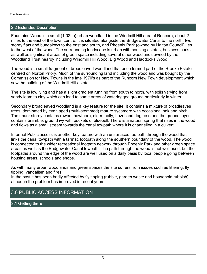#### 2.2 Extended Description

Fountains Wood is a small (1.08ha) urban woodland in the Windmill Hill area of Runcorn, about 2 miles to the east of the town centre. It is situated alongside the Bridgewater Canal to the north, two storey flats and bungalows to the east and south, and Phoenix Park (owned by Halton Council) lies to the west of the wood. The surrounding landscape is urban with housing estates, business parks as well as significant areas of green space including several other woodlands owned by the Woodland Trust nearby including Windmill Hill Wood, Big Wood and Haddocks Wood.

The wood is a small fragment of broadleaved woodland that once formed part of the Brooke Estate centred on Norton Priory. Much of the surrounding land including the woodland was bought by the Commission for New Towns in the late 1970's as part of the Runcorn New Town development which saw the building of the Windmill Hill estate.

The site is low lying and has a slight gradient running from south to north, with soils varying from sandy loam to clay which can lead to some areas of waterlogged ground particularly in winter.

Secondary broadleaved woodland is a key feature for the site. It contains a mixture of broadleaves trees, dominated by even aged (multi-stemmed) mature sycamore with occasional oak and birch. The under storey contains rowan, hawthorn, elder, holly, hazel and dog rose and the ground layer contains bramble, ground ivy with pockets of bluebell. There is a natural spring that rises in the wood and flows as a small stream towards the canal towpath where it is channelled in a culvert.

Informal Public access is another key feature with an unsurfaced footpath through the wood that links the canal towpath with a tarmac footpath along the southern boundary of the wood. The wood is connected to the wider recreational footpath network through Phoenix Park and other green space areas as well as the Bridgewater Canal towpath. The path through the wood is not well used, but the footpaths around the edge of the wood are well used on a daily basis by local people going between housing areas, schools and shops.

As with many urban woodlands and green spaces the site suffers from issues such as littering, fly tipping, vandalism and fires.

In the past it has been badly affected by fly tipping (rubble, garden waste and household rubbish), although the problem has improved in recent years.

### 3.0 PUBLIC ACCESS INFORMATION

#### 3.1 Getting there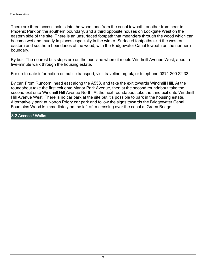There are three access points into the wood: one from the canal towpath, another from near to Phoenix Park on the southern boundary, and a third opposite houses on Lockgate West on the eastern side of the site. There is an unsurfaced footpath that meanders through the wood which can become wet and muddy in places especially in the winter. Surfaced footpaths skirt the western, eastern and southern boundaries of the wood, with the Bridgewater Canal towpath on the northern boundary.

By bus: The nearest bus stops are on the bus lane where it meets Windmill Avenue West, about a five-minute walk through the housing estate.

For up-to-date information on public transport, visit traveline.org.uk; or telephone 0871 200 22 33.

By car: From Runcorn, head east along the A558, and take the exit towards Windmill Hill. At the roundabout take the first exit onto Manor Park Avenue, then at the second roundabout take the second exit onto Windmill Hill Avenue North. At the next roundabout take the third exit onto Windmill Hill Avenue West. There is no car park at the site but it's possible to park in the housing estate. Alternatively park at Norton Priory car park and follow the signs towards the Bridgewater Canal. Fountains Wood is immediately on the left after crossing over the canal at Green Bridge.

3.2 Access / Walks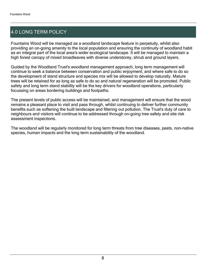## 4.0 LONG TERM POLICY

Fountains Wood will be managed as a woodland landscape feature in perpetuity, whilst also providing an on-going amenity to the local population and ensuring the continuity of woodland habit as an integral part of the local area's wider ecological landscape. It will be managed to maintain a high forest canopy of mixed broadleaves with diverse understorey, shrub and ground layers.

Guided by the Woodland Trust's woodland management approach, long term management will continue to seek a balance between conservation and public enjoyment; and where safe to do so the development of stand structure and species mix will be allowed to develop naturally. Mature trees will be retained for as long as safe to do so and natural regeneration will be promoted. Public safety and long term stand stability will be the key drivers for woodland operations, particularly focussing on areas bordering buildings and footpaths.

The present levels of public access will be maintained, and management will ensure that the wood remains a pleasant place to visit and pass through, whilst continuing to deliver further community benefits such as softening the built landscape and filtering out pollution. The Trust's duty of care to neighbours and visitors will continue to be addressed through on-going tree safety and site risk assessment inspections.

The woodland will be regularly monitored for long term threats from tree diseases, pests, non-native species, human impacts and the long term sustainability of the woodland.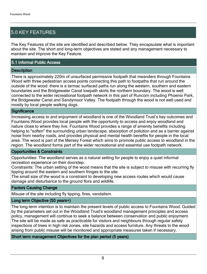## 5.0 KEY FEATURES

The Key Features of the site are identified and described below. They encapsulate what is important about the site. The short and long-term objectives are stated and any management necessary to maintain and improve the Key Feature.

#### 5.1 Informal Public Access

#### **Description**

There is approximately 220m of unsurfaced permissive footpath that meanders through Fountains Wood with three pedestrian access points connecting this path to footpaths that run around the outside of the wood: there is a tarmac surfaced paths run along the western, southern and eastern boundaries and the Bridgewater Canal towpath skirts the northern boundary. The wood is well connected to the wider recreational footpath network in this part of Runcorn including Phoenix Park, the Bridgewater Canal and Sandymoor Valley. The footpath through the wood is not well used and mostly by local people walking dogs.

#### **Significance**

Increasing access to and enjoyment of woodland is one of the Woodland Trust's key outcomes and Fountains Wood provides local people with the opportunity to access and enjoy woodland and nature close to where they live. Fountains Wood provides a range of amenity benefits including helping to "soften" the surrounding urban landscape, absorption of pollution and as a barrier against noise from nearby roads, and provides physical and mental health benefits for people in the local area. The wood is part of the Mersey Forest which aims to promote public access to woodland in the region. The woodland forms part of the wider recreational and essential use footpath network.

#### Opportunities & Constraints

Opportunities: The woodland serves as a natural setting for people to enjoy a quiet informal recreation experience on their doorstep.

Constraints: The urban setting of the wood means that the site is subject to misuse with recurring fly tipping around the eastern and southern fringes to the site.

The small size of the wood is a constraint to developing new access routes which would cause damage and disturbance to the ground flora and wildlife.

#### Factors Causing Change

Misuse of the site including fly tipping, fires, vandalism.

#### Long term Objective (50 years+)

The long-term intention is to maintain the present levels of public access to Fountains Wood. Guided by the parameters set out in the Woodland Trust's woodland management principles and access policy, management will continue to seek a balance between conservation and public enjoyment. The site will be made as safe as practicable for visitors and neighbours through regular safety inspections of trees in high risk zones, site hazards and access furniture. Any threats to the wood arising from public misuse will be monitored and appropriate measures taken if necessary.

#### Short term management Objectives for the plan period (5 years)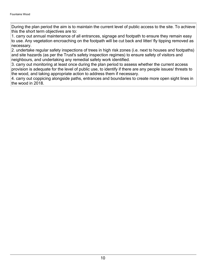During the plan period the aim is to maintain the current level of public access to the site. To achieve this the short term objectives are to:

1. carry out annual maintenance of all entrances, signage and footpath to ensure they remain easy to use. Any vegetation encroaching on the footpath will be cut back and litter/ fly tipping removed as necessary.

2. undertake regular safety inspections of trees in high risk zones (i.e. next to houses and footpaths) and site hazards (as per the Trust's safety inspection regimes) to ensure safety of visitors and neighbours, and undertaking any remedial safety work identified.

3. carry out monitoring at least once during the plan period to assess whether the current access provision is adequate for the level of public use, to identify if there are any people issues/ threats to the wood, and taking appropriate action to address them if necessary.

4. carry out coppicing alongside paths, entrances and boundaries to create more open sight lines in the wood in 2018.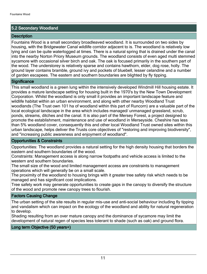#### 5.2 Secondary Woodland

#### **Description**

Fountains Wood is a small secondary broadleaved woodland. It is surrounded on two sides by housing, with the Bridgewater Canal wildlife corridor adjacent to is. The woodland is relatively low lying and can be quite waterlogged at times. There is a natural spring that is drained under the canal into the nearby Norton Priory Museum grounds. The woodland consists of even aged multi stemmed sycamore with occasional silver birch and oak. The oak is focused primarily in the southern part of the wood. The understorey is relatively sparse and contains hawthorn, elder, dog rose, holly. The ground layer contains bramble, ground ivy and pockets of bluebell, lesser celandine and a number of garden escapees. The eastern and southern boundaries are blighted by fly tipping.

#### **Significance**

This small woodland is a green lung within the intensively developed Windmill Hill housing estate. It provides a mature landscape setting for housing built in the 1970's by the New Town Development Corporation. Whilst the woodland is only small it provides an important landscape feature and wildlife habitat within an urban environment, and along with other nearby Woodland Trust woodlands (The Trust own 101 ha of woodland within this part of Runcorn) are a valuable part of the local ecological landscape in the area which includes managed/ unmanaged grassland, scrub, ponds, streams, ditches and the canal. It is also part of the Mersey Forest, a project designed to promote the establishment, maintenance and use of woodland in Merseyside. Cheshire has less than 5% woodland cover, consequently this and other local Woodland Trust owned sites within this urban landscape, helps deliver the Trusts core objectives of "restoring and improving biodiversity", and "increasing public awareness and enjoyment of woodland".

#### Opportunities & Constraints

Opportunities: The woodland provides a natural setting for the high density housing that borders the eastern and southern boundaries of the wood.

Constraints: Management access is along narrow footpaths and vehicle access is limited to the western and southern boundaries.

The small size of the wood and limited management access are constraints to management operations which will generally be on a small scale.

The proximity of the woodland to housing brings with it greater tree safety risk which needs to be managed and has significant cost implications.

Tree safety work may generate opportunities to create gaps in the canopy to diversify the structure of the wood and promote new canopy trees to flourish.

#### Factors Causing Change

The urban setting of the site results in regular mis-use and anti-social behaviour including fly tipping and vandalism which can impact on the ecology of the woodland and ability for natural regeneration to develop.

Shading resulting from an over mature canopy and the dominance of sycamore may limit the development of natural regen of species less tolerant to shade (such as oak) and ground flora.

#### Long term Objective (50 years+)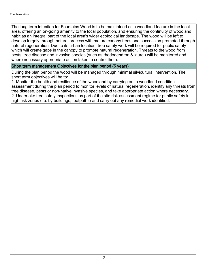The long term intention for Fountains Wood is to be maintained as a woodland feature in the local area, offering an on-going amenity to the local population, and ensuring the continuity of woodland habit as an integral part of the local area's wider ecological landscape. The wood will be left to develop largely through natural process with mature canopy trees and succession promoted through natural regeneration. Due to its urban location, tree safety work will be required for public safety which will create gaps in the canopy to promote natural regeneration. Threats to the wood from pests, tree disease and invasive species (such as rhododendron & laurel) will be monitored and where necessary appropriate action taken to control them.

#### Short term management Objectives for the plan period (5 years)

During the plan period the wood will be managed through minimal silvicultural intervention. The short term objectives will be to:

1. Monitor the health and resilience of the woodland by carrying out a woodland condition assessment during the plan period to monitor levels of natural regeneration, identify any threats from tree disease, pests or non-native invasive species, and take appropriate action where necessary. 2. Undertake tree safety inspections as part of the site risk assessment regime for public safety in high risk zones (i.e. by buildings, footpaths) and carry out any remedial work identified.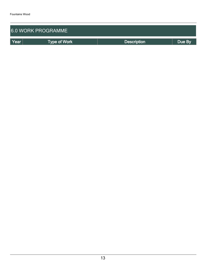| <b>6.0 WORK PROGRAMME</b> |                     |                    |        |  |  |  |
|---------------------------|---------------------|--------------------|--------|--|--|--|
| Year                      | <b>Type of Work</b> | <b>Description</b> | Due By |  |  |  |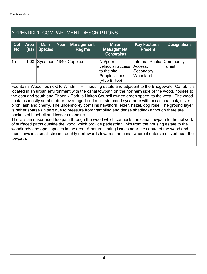## APPENDIX 1: COMPARTMENT DESCRIPTIONS

| Cpt<br>No. | Area<br>(ha) | <b>Main</b><br><b>Species</b>        | Year | <b>Management</b><br>Regime | <b>Major</b><br>Management<br><b>Constraints</b>                                 | <b>Key Features</b><br><b>Present</b>                         | <b>Designations</b> |
|------------|--------------|--------------------------------------|------|-----------------------------|----------------------------------------------------------------------------------|---------------------------------------------------------------|---------------------|
| 1a         |              | 1.08   Sycamor   1940   Coppice<br>e |      |                             | No/poor<br>vehicular access<br>to the site,<br>People issues<br>$(+$ tve & -tve) | Informal Public Community<br>Access,<br>Secondary<br>Woodland | Forest              |

Fountains Wood lies next to Windmill Hill housing estate and adjacent to the Bridgewater Canal. It is located in an urban environment with the canal towpath on the northern side of the wood, houses to the east and south and Phoenix Park, a Halton Council owned green space, to the west. The wood contains mostly semi-mature, even aged and multi stemmed sycamore with occasional oak, silver birch, ash and cherry. The understorey contains hawthorn, elder, hazel, dog rose. The ground layer is rather sparse (in part due to pressure from trampling and dense shading) although there are pockets of bluebell and lesser celandine.

There is an unsurfaced footpath through the wood which connects the canal towpath to the network of surfaced paths outside the wood which provide pedestrian links from the housing estate to the woodlands and open spaces in the area. A natural spring issues near the centre of the wood and then flows in a small stream roughly northwards towards the canal where it enters a culvert near the towpath.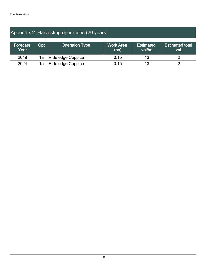## Appendix 2: Harvesting operations (20 years)

| Forecast<br>$\sf Year^{\sf l}$ | Cpt | <b>Operation Type</b> | <b>Work Area</b><br>(ha) | <b>Estimated</b><br>vol/ha | <b>Estimated total</b><br>vol. |
|--------------------------------|-----|-----------------------|--------------------------|----------------------------|--------------------------------|
| 2018                           | 1a  | Ride edge Coppice     | 0.15                     | 13                         |                                |
| 2024                           | 1a  | Ride edge Coppice     | 0.15                     | 13                         |                                |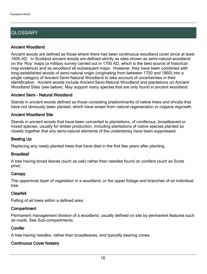## **GLOSSARY**

#### Ancient Woodland

Ancient woods are defined as those where there has been continuous woodland cover since at least 1600 AD. In Scotland ancient woods are defined strictly as sites shown as semi-natural woodland on the 'Roy' maps (a military survey carried out in 1750 AD, which is the best source of historical map evidence) and as woodland all subsequent maps. However, they have been combined with long-established woods of semi-natural origin (originating from between 1750 and 1860) into a single category of Ancient Semi-Natural Woodland to take account of uncertainties in their identification. Ancient woods include Ancient Semi-Natural Woodland and plantations on Ancient Woodland Sites (see below). May support many species that are only found in ancient woodland.

#### Ancient Semi - Natural Woodland

Stands in ancient woods defined as those consisting predominantly of native trees and shrubs that have not obviously been planted, which have arisen from natural regeneration or coppice regrowth.

#### Ancient Woodland Site

Stands in ancient woods that have been converted to plantations, of coniferous, broadleaved or mixed species, usually for timber production, including plantations of native species planted so closely together that any semi-natural elements of the understorey have been suppressed.

#### Beating Up

Replacing any newly planted trees that have died in the first few years after planting.

#### **Broadleaf**

A tree having broad leaves (such as oak) rather than needles found on conifers (such as Scots pine).

#### **Canopy**

The uppermost layer of vegetation in a woodland, or the upper foliage and branches of an individual tree.

#### Clearfell

Felling of all trees within a defined area.

#### **Compartment**

Permanent management division of a woodland, usually defined on site by permanent features such as roads. See Sub-compartments.

#### **Conifer**

A tree having needles, rather than broadleaves, and typically bearing cones.

### Continuous Cover forestry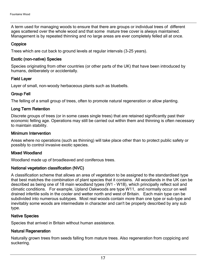A term used for managing woods to ensure that there are groups or individual trees of different ages scattered over the whole wood and that some mature tree cover is always maintained. Management is by repeated thinning and no large areas are ever completely felled all at once.

#### **Coppice**

Trees which are cut back to ground levels at regular intervals (3-25 years).

#### Exotic (non-native) Species

Species originating from other countries (or other parts of the UK) that have been introduced by humans, deliberately or accidentally.

#### Field Layer

Layer of small, non-woody herbaceous plants such as bluebells.

#### Group Fell

The felling of a small group of trees, often to promote natural regeneration or allow planting.

#### Long Term Retention

Discrete groups of trees (or in some cases single trees) that are retained significantly past their economic felling age. Operations may still be carried out within them and thinning is often necessary to maintain stability.

#### Minimum Intervention

Areas where no operations (such as thinning) will take place other than to protect public safety or possibly to control invasive exotic species.

#### Mixed Woodland

Woodland made up of broadleaved and coniferous trees.

#### National vegetation classification (NVC)

A classification scheme that allows an area of vegetation to be assigned to the standardised type that best matches the combination of plant species that it contains. All woodlands in the UK can be described as being one of 18 main woodland types (W1 - W18), which principally reflect soil and climatic conditions. For example, Upland Oakwoods are type W11, and normally occur on well drained infertile soils in the cooler and wetter north and west of Britain. Each main type can be subdivided into numerous subtypes. Most real woods contain more than one type or sub-type and inevitably some woods are intermediate in character and can't be properly described by any sub type.

#### Native Species

Species that arrived in Britain without human assistance.

#### Natural Regeneration

Naturally grown trees from seeds falling from mature trees. Also regeneration from coppicing and suckering.